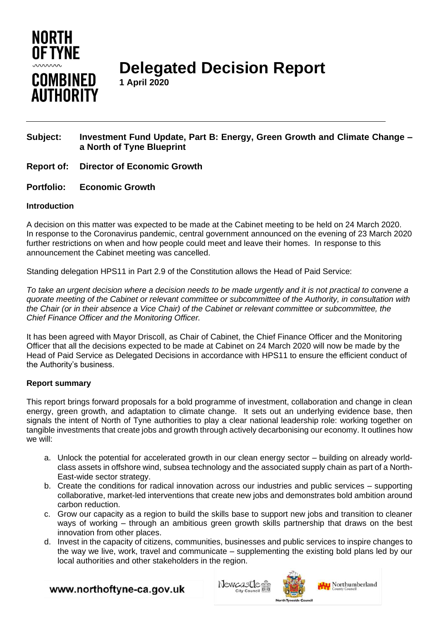

**Delegated Decision Report**

**1 April 2020**

# **Subject: Investment Fund Update, Part B: Energy, Green Growth and Climate Change – a North of Tyne Blueprint**

- **Report of: Director of Economic Growth**
- **Portfolio: Economic Growth**

# **Introduction**

A decision on this matter was expected to be made at the Cabinet meeting to be held on 24 March 2020. In response to the Coronavirus pandemic, central government announced on the evening of 23 March 2020 further restrictions on when and how people could meet and leave their homes. In response to this announcement the Cabinet meeting was cancelled.

Standing delegation HPS11 in Part 2.9 of the Constitution allows the Head of Paid Service:

*To take an urgent decision where a decision needs to be made urgently and it is not practical to convene a quorate meeting of the Cabinet or relevant committee or subcommittee of the Authority, in consultation with the Chair (or in their absence a Vice Chair) of the Cabinet or relevant committee or subcommittee, the Chief Finance Officer and the Monitoring Officer.*

It has been agreed with Mayor Driscoll, as Chair of Cabinet, the Chief Finance Officer and the Monitoring Officer that all the decisions expected to be made at Cabinet on 24 March 2020 will now be made by the Head of Paid Service as Delegated Decisions in accordance with HPS11 to ensure the efficient conduct of the Authority's business.

# **Report summary**

This report brings forward proposals for a bold programme of investment, collaboration and change in clean energy, green growth, and adaptation to climate change. It sets out an underlying evidence base, then signals the intent of North of Tyne authorities to play a clear national leadership role: working together on tangible investments that create jobs and growth through actively decarbonising our economy. It outlines how we will:

- a. Unlock the potential for accelerated growth in our clean energy sector building on already worldclass assets in offshore wind, subsea technology and the associated supply chain as part of a North-East-wide sector strategy.
- b. Create the conditions for radical innovation across our industries and public services supporting collaborative, market-led interventions that create new jobs and demonstrates bold ambition around carbon reduction.
- c. Grow our capacity as a region to build the skills base to support new jobs and transition to cleaner ways of working – through an ambitious green growth skills partnership that draws on the best innovation from other places.
- d. Invest in the capacity of citizens, communities, businesses and public services to inspire changes to the way we live, work, travel and communicate – supplementing the existing bold plans led by our local authorities and other stakeholders in the region.

www.northoftyne-ca.gov.uk





Northumberland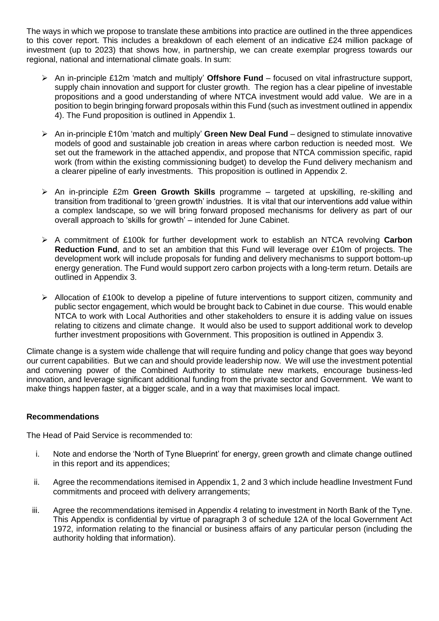The ways in which we propose to translate these ambitions into practice are outlined in the three appendices to this cover report. This includes a breakdown of each element of an indicative £24 million package of investment (up to 2023) that shows how, in partnership, we can create exemplar progress towards our regional, national and international climate goals. In sum:

- ➢ An in-principle £12m 'match and multiply' **Offshore Fund** focused on vital infrastructure support, supply chain innovation and support for cluster growth. The region has a clear pipeline of investable propositions and a good understanding of where NTCA investment would add value. We are in a position to begin bringing forward proposals within this Fund (such as investment outlined in appendix 4). The Fund proposition is outlined in Appendix 1.
- ➢ An in-principle £10m 'match and multiply' **Green New Deal Fund** designed to stimulate innovative models of good and sustainable job creation in areas where carbon reduction is needed most. We set out the framework in the attached appendix, and propose that NTCA commission specific, rapid work (from within the existing commissioning budget) to develop the Fund delivery mechanism and a clearer pipeline of early investments. This proposition is outlined in Appendix 2.
- ➢ An in-principle £2m **Green Growth Skills** programme targeted at upskilling, re-skilling and transition from traditional to 'green growth' industries. It is vital that our interventions add value within a complex landscape, so we will bring forward proposed mechanisms for delivery as part of our overall approach to 'skills for growth' – intended for June Cabinet.
- ➢ A commitment of £100k for further development work to establish an NTCA revolving **Carbon Reduction Fund**, and to set an ambition that this Fund will leverage over £10m of projects. The development work will include proposals for funding and delivery mechanisms to support bottom-up energy generation. The Fund would support zero carbon projects with a long-term return. Details are outlined in Appendix 3.
- ➢ Allocation of £100k to develop a pipeline of future interventions to support citizen, community and public sector engagement, which would be brought back to Cabinet in due course. This would enable NTCA to work with Local Authorities and other stakeholders to ensure it is adding value on issues relating to citizens and climate change. It would also be used to support additional work to develop further investment propositions with Government. This proposition is outlined in Appendix 3.

Climate change is a system wide challenge that will require funding and policy change that goes way beyond our current capabilities. But we can and should provide leadership now. We will use the investment potential and convening power of the Combined Authority to stimulate new markets, encourage business-led innovation, and leverage significant additional funding from the private sector and Government. We want to make things happen faster, at a bigger scale, and in a way that maximises local impact.

# **Recommendations**

The Head of Paid Service is recommended to:

- i. Note and endorse the 'North of Tyne Blueprint' for energy, green growth and climate change outlined in this report and its appendices;
- ii. Agree the recommendations itemised in Appendix 1, 2 and 3 which include headline Investment Fund commitments and proceed with delivery arrangements;
- iii. Agree the recommendations itemised in Appendix 4 relating to investment in North Bank of the Tyne. This Appendix is confidential by virtue of paragraph 3 of schedule 12A of the local Government Act 1972, information relating to the financial or business affairs of any particular person (including the authority holding that information).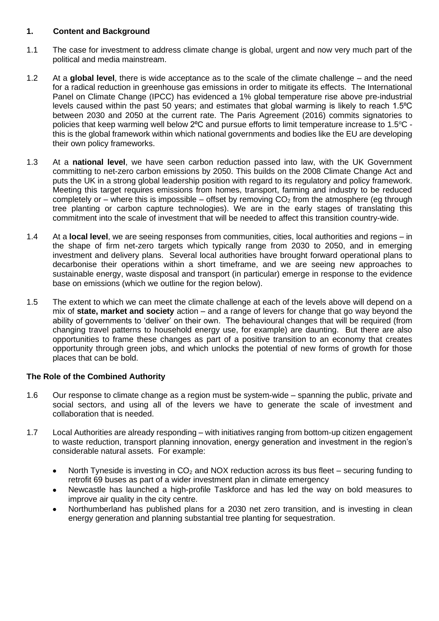# **1. Content and Background**

- 1.1 The case for investment to address climate change is global, urgent and now very much part of the political and media mainstream.
- 1.2 At a **global level**, there is wide acceptance as to the scale of the climate challenge and the need for a radical reduction in greenhouse gas emissions in order to mitigate its effects. The International Panel on Climate Change (IPCC) has evidenced a 1% global temperature rise above pre-industrial levels caused within the past 50 years; and estimates that global warming is likely to reach 1.5<sup>o</sup>C between 2030 and 2050 at the current rate. The Paris Agreement (2016) commits signatories to policies that keep warming well below 2°C and pursue efforts to limit temperature increase to 1.5°C this is the global framework within which national governments and bodies like the EU are developing their own policy frameworks.
- 1.3 At a **national level**, we have seen carbon reduction passed into law, with the UK Government committing to net-zero carbon emissions by 2050. This builds on the 2008 Climate Change Act and puts the UK in a strong global leadership position with regard to its regulatory and policy framework. Meeting this target requires emissions from homes, transport, farming and industry to be reduced completely or – where this is impossible – offset by removing  $CO<sub>2</sub>$  from the atmosphere (eg through tree planting or carbon capture technologies). We are in the early stages of translating this commitment into the scale of investment that will be needed to affect this transition country-wide.
- 1.4 At a **local level**, we are seeing responses from communities, cities, local authorities and regions in the shape of firm net-zero targets which typically range from 2030 to 2050, and in emerging investment and delivery plans. Several local authorities have brought forward operational plans to decarbonise their operations within a short timeframe, and we are seeing new approaches to sustainable energy, waste disposal and transport (in particular) emerge in response to the evidence base on emissions (which we outline for the region below).
- 1.5 The extent to which we can meet the climate challenge at each of the levels above will depend on a mix of **state, market and society** action – and a range of levers for change that go way beyond the ability of governments to 'deliver' on their own. The behavioural changes that will be required (from changing travel patterns to household energy use, for example) are daunting. But there are also opportunities to frame these changes as part of a positive transition to an economy that creates opportunity through green jobs, and which unlocks the potential of new forms of growth for those places that can be bold.

# **The Role of the Combined Authority**

- 1.6 Our response to climate change as a region must be system-wide spanning the public, private and social sectors, and using all of the levers we have to generate the scale of investment and collaboration that is needed.
- 1.7 Local Authorities are already responding with initiatives ranging from bottom-up citizen engagement to waste reduction, transport planning innovation, energy generation and investment in the region's considerable natural assets. For example:
	- North Tyneside is investing in  $CO<sub>2</sub>$  and NOX reduction across its bus fleet securing funding to retrofit 69 buses as part of a wider investment plan in climate emergency
	- Newcastle has launched a high-profile Taskforce and has led the way on bold measures to improve air quality in the city centre.
	- Northumberland has published plans for a 2030 net zero transition, and is investing in clean energy generation and planning substantial tree planting for sequestration.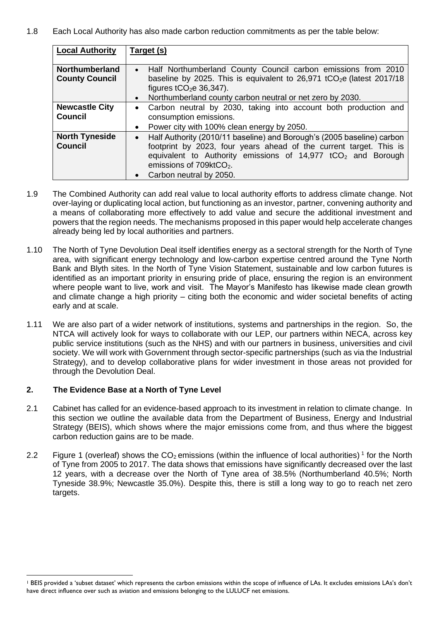1.8 Each Local Authority has also made carbon reduction commitments as per the table below:

| <b>Local Authority</b>                         | Target (s)                                                                                                                                                                                                                                                                                                  |
|------------------------------------------------|-------------------------------------------------------------------------------------------------------------------------------------------------------------------------------------------------------------------------------------------------------------------------------------------------------------|
| <b>Northumberland</b><br><b>County Council</b> | • Half Northumberland County Council carbon emissions from 2010<br>baseline by 2025. This is equivalent to $26,971$ tCO <sub>2</sub> e (latest 2017/18)<br>figures $tCO2e$ 36,347).<br>Northumberland county carbon neutral or net zero by 2030.<br>$\bullet$                                               |
| <b>Newcastle City</b><br><b>Council</b>        | Carbon neutral by 2030, taking into account both production and<br>$\bullet$<br>consumption emissions.<br>Power city with 100% clean energy by 2050.<br>$\bullet$                                                                                                                                           |
| <b>North Tyneside</b><br><b>Council</b>        | • Half Authority (2010/11 baseline) and Borough's (2005 baseline) carbon<br>footprint by 2023, four years ahead of the current target. This is<br>equivalent to Authority emissions of $14,977$ tCO <sub>2</sub> and Borough<br>emissions of 709ktCO <sub>2</sub> .<br>Carbon neutral by 2050.<br>$\bullet$ |

- 1.9 The Combined Authority can add real value to local authority efforts to address climate change. Not over-laying or duplicating local action, but functioning as an investor, partner, convening authority and a means of collaborating more effectively to add value and secure the additional investment and powers that the region needs. The mechanisms proposed in this paper would help accelerate changes already being led by local authorities and partners.
- 1.10 The North of Tyne Devolution Deal itself identifies energy as a sectoral strength for the North of Tyne area, with significant energy technology and low-carbon expertise centred around the Tyne North Bank and Blyth sites. In the North of Tyne Vision Statement, sustainable and low carbon futures is identified as an important priority in ensuring pride of place, ensuring the region is an environment where people want to live, work and visit. The Mayor's Manifesto has likewise made clean growth and climate change a high priority – citing both the economic and wider societal benefits of acting early and at scale.
- 1.11 We are also part of a wider network of institutions, systems and partnerships in the region. So, the NTCA will actively look for ways to collaborate with our LEP, our partners within NECA, across key public service institutions (such as the NHS) and with our partners in business, universities and civil society. We will work with Government through sector-specific partnerships (such as via the Industrial Strategy), and to develop collaborative plans for wider investment in those areas not provided for through the Devolution Deal.

# **2. The Evidence Base at a North of Tyne Level**

- 2.1 Cabinet has called for an evidence-based approach to its investment in relation to climate change. In this section we outline the available data from the Department of Business, Energy and Industrial Strategy (BEIS), which shows where the major emissions come from, and thus where the biggest carbon reduction gains are to be made.
- 2.2 Figure 1 (overleaf) shows the  $CO<sub>2</sub>$  emissions (within the influence of local authorities)<sup>1</sup> for the North of Tyne from 2005 to 2017. The data shows that emissions have significantly decreased over the last 12 years, with a decrease over the North of Tyne area of 38.5% (Northumberland 40.5%; North Tyneside 38.9%; Newcastle 35.0%). Despite this, there is still a long way to go to reach net zero targets.

<sup>&</sup>lt;sup>1</sup> BEIS provided a 'subset dataset' which represents the carbon emissions within the scope of influence of LAs. It excludes emissions LAs's don't have direct influence over such as aviation and emissions belonging to the LULUCF net emissions.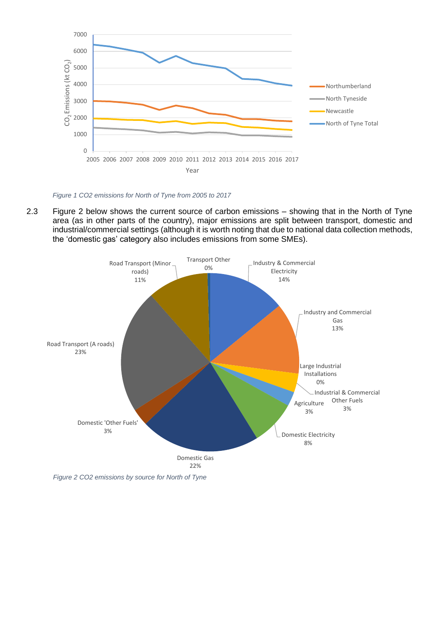

*Figure 1 CO2 emissions for North of Tyne from 2005 to 2017*

2.3 Figure 2 below shows the current source of carbon emissions – showing that in the North of Tyne area (as in other parts of the country), major emissions are split between transport, domestic and industrial/commercial settings (although it is worth noting that due to national data collection methods, the 'domestic gas' category also includes emissions from some SMEs).

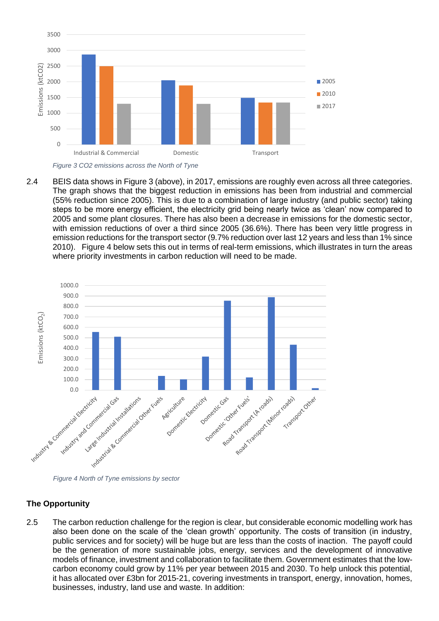

2.4 BEIS data shows in Figure 3 (above), in 2017, emissions are roughly even across all three categories. The graph shows that the biggest reduction in emissions has been from industrial and commercial (55% reduction since 2005). This is due to a combination of large industry (and public sector) taking steps to be more energy efficient, the electricity grid being nearly twice as 'clean' now compared to 2005 and some plant closures. There has also been a decrease in emissions for the domestic sector, with emission reductions of over a third since 2005 (36.6%). There has been very little progress in emission reductions for the transport sector (9.7% reduction over last 12 years and less than 1% since 2010). Figure 4 below sets this out in terms of real-term emissions, which illustrates in turn the areas where priority investments in carbon reduction will need to be made.



# **The Opportunity**

2.5 The carbon reduction challenge for the region is clear, but considerable economic modelling work has also been done on the scale of the 'clean growth' opportunity. The costs of transition (in industry, public services and for society) will be huge but are less than the costs of inaction. The payoff could be the generation of more sustainable jobs, energy, services and the development of innovative models of finance, investment and collaboration to facilitate them. Government estimates that the lowcarbon economy could grow by 11% per year between 2015 and 2030. To help unlock this potential, it has allocated over £3bn for 2015-21, covering investments in transport, energy, innovation, homes, businesses, industry, land use and waste. In addition: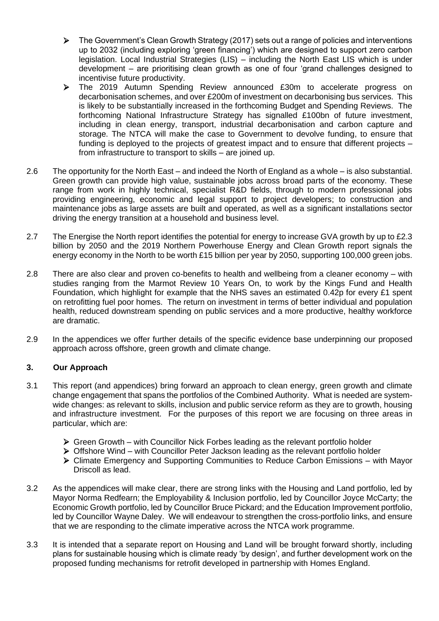- $\triangleright$  The Government's Clean Growth Strategy (2017) sets out a range of policies and interventions up to 2032 (including exploring 'green financing') which are designed to support zero carbon legislation. Local Industrial Strategies (LIS) – including the North East LIS which is under development – are prioritising clean growth as one of four 'grand challenges designed to incentivise future productivity.
- ➢ The 2019 Autumn Spending Review announced £30m to accelerate progress on decarbonisation schemes, and over £200m of investment on decarbonising bus services. This is likely to be substantially increased in the forthcoming Budget and Spending Reviews. The forthcoming National Infrastructure Strategy has signalled £100bn of future investment, including in clean energy, transport, industrial decarbonisation and carbon capture and storage. The NTCA will make the case to Government to devolve funding, to ensure that funding is deployed to the projects of greatest impact and to ensure that different projects – from infrastructure to transport to skills – are joined up.
- 2.6 The opportunity for the North East and indeed the North of England as a whole is also substantial. Green growth can provide high value, sustainable jobs across broad parts of the economy. These range from work in highly technical, specialist R&D fields, through to modern professional jobs providing engineering, economic and legal support to project developers; to construction and maintenance jobs as large assets are built and operated, as well as a significant installations sector driving the energy transition at a household and business level.
- 2.7 The Energise the North report identifies the potential for energy to increase GVA growth by up to £2.3 billion by 2050 and the 2019 Northern Powerhouse Energy and Clean Growth report signals the energy economy in the North to be worth £15 billion per year by 2050, supporting 100,000 green jobs.
- 2.8 There are also clear and proven co-benefits to health and wellbeing from a cleaner economy with studies ranging from the Marmot Review 10 Years On, to work by the Kings Fund and Health Foundation, which highlight for example that the NHS saves an estimated 0.42p for every £1 spent on retrofitting fuel poor homes. The return on investment in terms of better individual and population health, reduced downstream spending on public services and a more productive, healthy workforce are dramatic.
- 2.9 In the appendices we offer further details of the specific evidence base underpinning our proposed approach across offshore, green growth and climate change.

# **3. Our Approach**

- 3.1 This report (and appendices) bring forward an approach to clean energy, green growth and climate change engagement that spans the portfolios of the Combined Authority. What is needed are systemwide changes: as relevant to skills, inclusion and public service reform as they are to growth, housing and infrastructure investment. For the purposes of this report we are focusing on three areas in particular, which are:
	- ➢ Green Growth with Councillor Nick Forbes leading as the relevant portfolio holder
	- ➢ Offshore Wind with Councillor Peter Jackson leading as the relevant portfolio holder
	- ➢ Climate Emergency and Supporting Communities to Reduce Carbon Emissions with Mayor Driscoll as lead.
- 3.2 As the appendices will make clear, there are strong links with the Housing and Land portfolio, led by Mayor Norma Redfearn; the Employability & Inclusion portfolio, led by Councillor Joyce McCarty; the Economic Growth portfolio, led by Councillor Bruce Pickard; and the Education Improvement portfolio, led by Councillor Wayne Daley. We will endeavour to strengthen the cross-portfolio links, and ensure that we are responding to the climate imperative across the NTCA work programme.
- 3.3 It is intended that a separate report on Housing and Land will be brought forward shortly, including plans for sustainable housing which is climate ready 'by design', and further development work on the proposed funding mechanisms for retrofit developed in partnership with Homes England.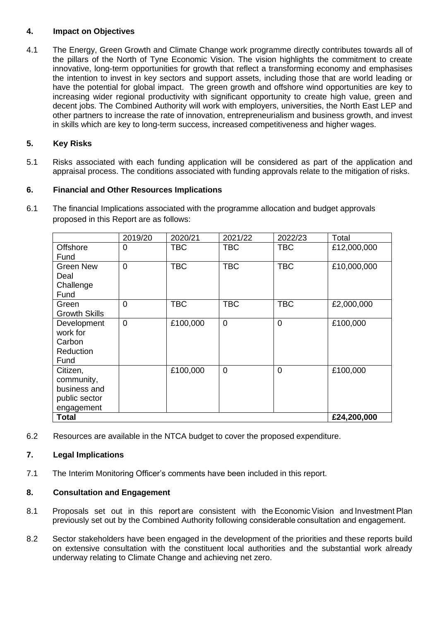# **4. Impact on Objectives**

4.1 The Energy, Green Growth and Climate Change work programme directly contributes towards all of the pillars of the North of Tyne Economic Vision. The vision highlights the commitment to create innovative, long-term opportunities for growth that reflect a transforming economy and emphasises the intention to invest in key sectors and support assets, including those that are world leading or have the potential for global impact. The green growth and offshore wind opportunities are key to increasing wider regional productivity with significant opportunity to create high value, green and decent jobs. The Combined Authority will work with employers, universities, the North East LEP and other partners to increase the rate of innovation, entrepreneurialism and business growth, and invest in skills which are key to long-term success, increased competitiveness and higher wages.

# **5. Key Risks**

5.1 Risks associated with each funding application will be considered as part of the application and appraisal process. The conditions associated with funding approvals relate to the mitigation of risks.

# **6. Financial and Other Resources Implications**

6.1 The financial Implications associated with the programme allocation and budget approvals proposed in this Report are as follows:

|                                                                       | 2019/20        | 2020/21    | 2021/22     | 2022/23        | Total       |
|-----------------------------------------------------------------------|----------------|------------|-------------|----------------|-------------|
| <b>Offshore</b><br>Fund                                               | $\Omega$       | <b>TBC</b> | <b>TBC</b>  | <b>TBC</b>     | £12,000,000 |
| <b>Green New</b><br>Deal<br>Challenge<br>Fund                         | $\overline{0}$ | <b>TBC</b> | <b>TBC</b>  | <b>TBC</b>     | £10,000,000 |
| Green<br><b>Growth Skills</b>                                         | $\overline{0}$ | <b>TBC</b> | <b>TBC</b>  | <b>TBC</b>     | £2,000,000  |
| Development<br>work for<br>Carbon<br>Reduction<br>Fund                | $\mathbf 0$    | £100,000   | $\mathbf 0$ | $\overline{0}$ | £100,000    |
| Citizen,<br>community,<br>business and<br>public sector<br>engagement |                | £100,000   | $\mathbf 0$ | $\overline{0}$ | £100,000    |
| <b>Total</b>                                                          | £24,200,000    |            |             |                |             |

6.2 Resources are available in the NTCA budget to cover the proposed expenditure.

# **7. Legal Implications**

7.1 The Interim Monitoring Officer's comments have been included in this report.

# **8. Consultation and Engagement**

- 8.1 Proposals set out in this report are consistent with the Economic Vision and Investment Plan previously set out by the Combined Authority following considerable consultation and engagement.
- 8.2 Sector stakeholders have been engaged in the development of the priorities and these reports build on extensive consultation with the constituent local authorities and the substantial work already underway relating to Climate Change and achieving net zero.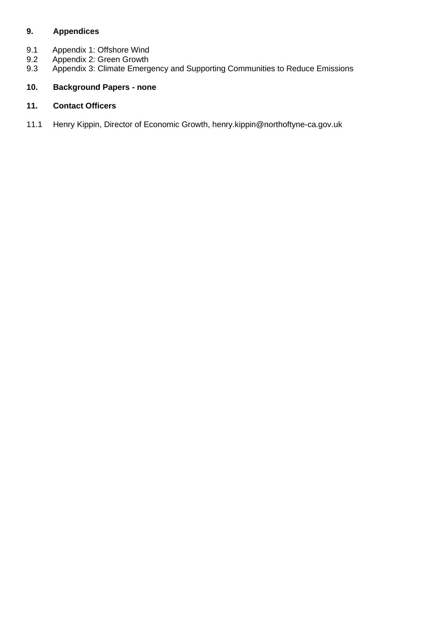# **9. Appendices**

- 9.1 Appendix 1: Offshore Wind<br>9.2 Appendix 2: Green Growth
- 9.2 Appendix 2: Green Growth<br>9.3 Appendix 3: Climate Emerg
- Appendix 3: Climate Emergency and Supporting Communities to Reduce Emissions

# **10. Background Papers - none**

# **11. Contact Officers**

11.1 Henry Kippin, Director of Economic Growth, henry.kippin@northoftyne-ca.gov.uk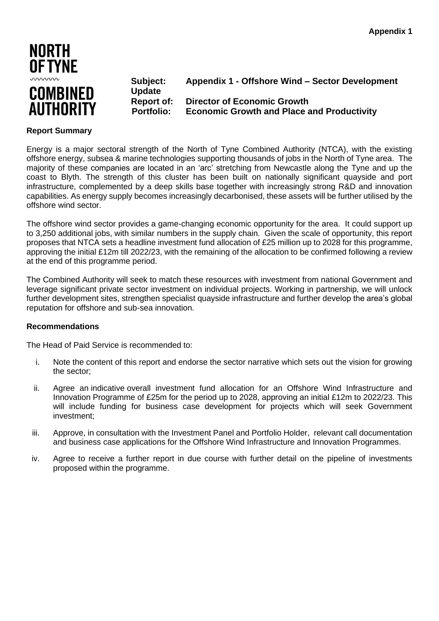

**Update**

**Subject: Appendix 1 - Offshore Wind – Sector Development** 

**Report of: Director of Economic Growth Portfolio: Economic Growth and Place and Productivity**

#### **Report Summary**

Energy is a major sectoral strength of the North of Tyne Combined Authority (NTCA), with the existing offshore energy, subsea & marine technologies supporting thousands of jobs in the North of Tyne area. The majority of these companies are located in an 'arc' stretching from Newcastle along the Tyne and up the coast to Blyth. The strength of this cluster has been built on nationally significant quayside and port infrastructure, complemented by a deep skills base together with increasingly strong R&D and innovation capabilities. As energy supply becomes increasingly decarbonised, these assets will be further utilised by the offshore wind sector.

The offshore wind sector provides a game-changing economic opportunity for the area. It could support up to 3,250 additional jobs, with similar numbers in the supply chain. Given the scale of opportunity, this report proposes that NTCA sets a headline investment fund allocation of £25 million up to 2028 for this programme, approving the initial £12m till 2022/23, with the remaining of the allocation to be confirmed following a review at the end of this programme period.

The Combined Authority will seek to match these resources with investment from national Government and leverage significant private sector investment on individual projects. Working in partnership, we will unlock further development sites, strengthen specialist quayside infrastructure and further develop the area's global reputation for offshore and sub-sea innovation.

#### **Recommendations**

The Head of Paid Service is recommended to:

- i. Note the content of this report and endorse the sector narrative which sets out the vision for growing the sector;
- ii. Agree an indicative overall investment fund allocation for an Offshore Wind Infrastructure and Innovation Programme of £25m for the period up to 2028, approving an initial £12m to 2022/23. This will include funding for business case development for projects which will seek Government investment;
- iii. Approve, in consultation with the Investment Panel and Portfolio Holder, relevant call documentation and business case applications for the Offshore Wind Infrastructure and Innovation Programmes.
- iv. Agree to receive a further report in due course with further detail on the pipeline of investments proposed within the programme.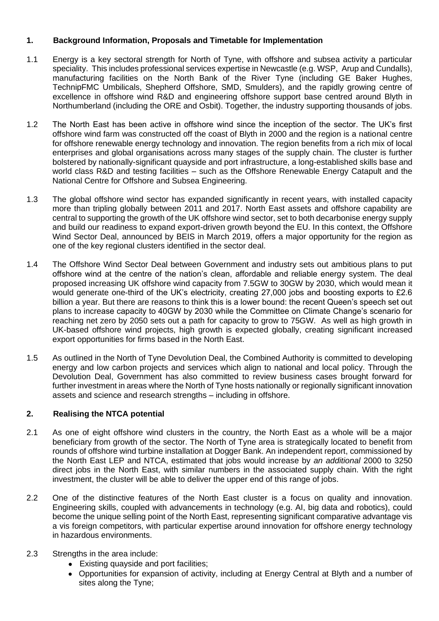# **1. Background Information, Proposals and Timetable for Implementation**

- 1.1 Energy is a key sectoral strength for North of Tyne, with offshore and subsea activity a particular speciality. This includes professional services expertise in Newcastle (e.g. WSP, Arup and Cundalls), manufacturing facilities on the North Bank of the River Tyne (including GE Baker Hughes, TechnipFMC Umbilicals, Shepherd Offshore, SMD, Smulders), and the rapidly growing centre of excellence in offshore wind R&D and engineering offshore support base centred around Blyth in Northumberland (including the ORE and Osbit). Together, the industry supporting thousands of jobs.
- 1.2 The North East has been active in offshore wind since the inception of the sector. The UK's first offshore wind farm was constructed off the coast of Blyth in 2000 and the region is a national centre for offshore renewable energy technology and innovation. The region benefits from a rich mix of local enterprises and global organisations across many stages of the supply chain. The cluster is further bolstered by nationally-significant quayside and port infrastructure, a long-established skills base and world class R&D and testing facilities – such as the Offshore Renewable Energy Catapult and the National Centre for Offshore and Subsea Engineering.
- 1.3 The global offshore wind sector has expanded significantly in recent years, with installed capacity more than tripling globally between 2011 and 2017. North East assets and offshore capability are central to supporting the growth of the UK offshore wind sector, set to both decarbonise energy supply and build our readiness to expand export-driven growth beyond the EU. In this context, the Offshore Wind Sector Deal, announced by BEIS in March 2019, offers a major opportunity for the region as one of the key regional clusters identified in the sector deal.
- 1.4 The Offshore Wind Sector Deal between Government and industry sets out ambitious plans to put offshore wind at the centre of the nation's clean, affordable and reliable energy system. The deal proposed increasing UK offshore wind capacity from 7.5GW to 30GW by 2030, which would mean it would generate one-third of the UK's electricity, creating 27,000 jobs and boosting exports to £2.6 billion a year. But there are reasons to think this is a lower bound: the recent Queen's speech set out plans to increase capacity to 40GW by 2030 while the Committee on Climate Change's scenario for reaching net zero by 2050 sets out a path for capacity to grow to 75GW. As well as high growth in UK-based offshore wind projects, high growth is expected globally, creating significant increased export opportunities for firms based in the North East.
- 1.5 As outlined in the North of Tyne Devolution Deal, the Combined Authority is committed to developing energy and low carbon projects and services which align to national and local policy. Through the Devolution Deal, Government has also committed to review business cases brought forward for further investment in areas where the North of Tyne hosts nationally or regionally significant innovation assets and science and research strengths – including in offshore.

# **2. Realising the NTCA potential**

- 2.1 As one of eight offshore wind clusters in the country, the North East as a whole will be a major beneficiary from growth of the sector. The North of Tyne area is strategically located to benefit from rounds of offshore wind turbine installation at Dogger Bank. An independent report, commissioned by the North East LEP and NTCA, estimated that jobs would increase by *an additional* 2000 to 3250 direct jobs in the North East, with similar numbers in the associated supply chain. With the right investment, the cluster will be able to deliver the upper end of this range of jobs.
- 2.2 One of the distinctive features of the North East cluster is a focus on quality and innovation. Engineering skills, coupled with advancements in technology (e.g. AI, big data and robotics), could become the unique selling point of the North East, representing significant comparative advantage vis a vis foreign competitors, with particular expertise around innovation for offshore energy technology in hazardous environments.

# 2.3 Strengths in the area include:

- Existing quayside and port facilities;
- Opportunities for expansion of activity, including at Energy Central at Blyth and a number of sites along the Tyne;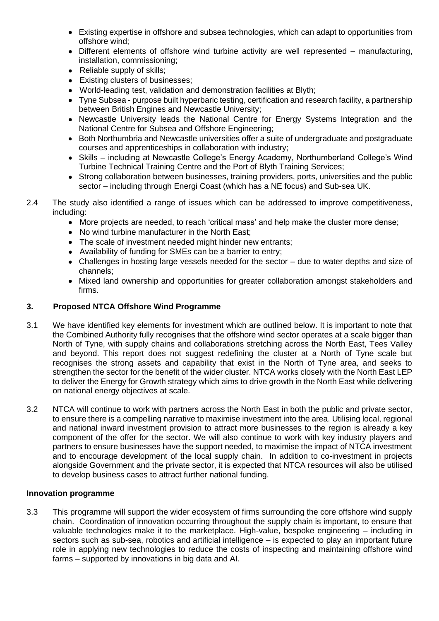- Existing expertise in offshore and subsea technologies, which can adapt to opportunities from offshore wind;
- Different elements of offshore wind turbine activity are well represented manufacturing, installation, commissioning;
- Reliable supply of skills;
- Existing clusters of businesses;
- World-leading test, validation and demonstration facilities at Blyth;
- Tyne Subsea purpose built hyperbaric testing, certification and research facility, a partnership between British Engines and Newcastle University;
- Newcastle University leads the National Centre for Energy Systems Integration and the National Centre for Subsea and Offshore Engineering;
- Both Northumbria and Newcastle universities offer a suite of undergraduate and postgraduate courses and apprenticeships in collaboration with industry;
- Skills including at Newcastle College's Energy Academy, Northumberland College's Wind Turbine Technical Training Centre and the Port of Blyth Training Services;
- Strong collaboration between businesses, training providers, ports, universities and the public sector – including through Energi Coast (which has a NE focus) and Sub-sea UK.
- 2.4 The study also identified a range of issues which can be addressed to improve competitiveness, including:
	- More projects are needed, to reach 'critical mass' and help make the cluster more dense;
	- No wind turbine manufacturer in the North East:
	- The scale of investment needed might hinder new entrants:
	- Availability of funding for SMEs can be a barrier to entry;
	- Challenges in hosting large vessels needed for the sector due to water depths and size of channels;
	- Mixed land ownership and opportunities for greater collaboration amongst stakeholders and firms.

# **3. Proposed NTCA Offshore Wind Programme**

- 3.1 We have identified key elements for investment which are outlined below. It is important to note that the Combined Authority fully recognises that the offshore wind sector operates at a scale bigger than North of Tyne, with supply chains and collaborations stretching across the North East, Tees Valley and beyond. This report does not suggest redefining the cluster at a North of Tyne scale but recognises the strong assets and capability that exist in the North of Tyne area, and seeks to strengthen the sector for the benefit of the wider cluster. NTCA works closely with the North East LEP to deliver the Energy for Growth strategy which aims to drive growth in the North East while delivering on national energy objectives at scale.
- 3.2 NTCA will continue to work with partners across the North East in both the public and private sector, to ensure there is a compelling narrative to maximise investment into the area. Utilising local, regional and national inward investment provision to attract more businesses to the region is already a key component of the offer for the sector. We will also continue to work with key industry players and partners to ensure businesses have the support needed, to maximise the impact of NTCA investment and to encourage development of the local supply chain. In addition to co-investment in projects alongside Government and the private sector, it is expected that NTCA resources will also be utilised to develop business cases to attract further national funding.

# **Innovation programme**

3.3 This programme will support the wider ecosystem of firms surrounding the core offshore wind supply chain. Coordination of innovation occurring throughout the supply chain is important, to ensure that valuable technologies make it to the marketplace. High-value, bespoke engineering – including in sectors such as sub-sea, robotics and artificial intelligence – is expected to play an important future role in applying new technologies to reduce the costs of inspecting and maintaining offshore wind farms – supported by innovations in big data and AI.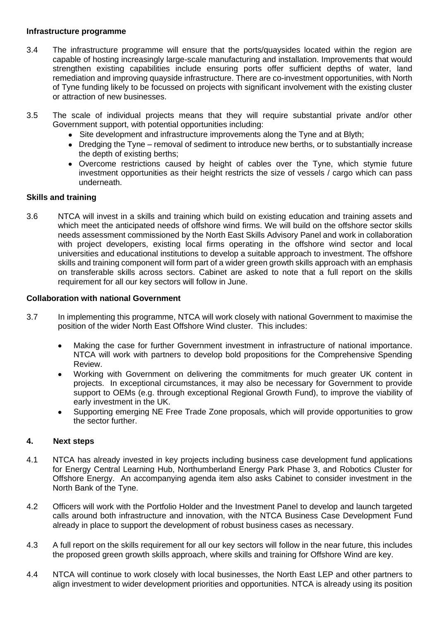#### **Infrastructure programme**

- 3.4 The infrastructure programme will ensure that the ports/quaysides located within the region are capable of hosting increasingly large-scale manufacturing and installation. Improvements that would strengthen existing capabilities include ensuring ports offer sufficient depths of water, land remediation and improving quayside infrastructure. There are co-investment opportunities, with North of Tyne funding likely to be focussed on projects with significant involvement with the existing cluster or attraction of new businesses.
- 3.5 The scale of individual projects means that they will require substantial private and/or other Government support, with potential opportunities including:
	- Site development and infrastructure improvements along the Tyne and at Blyth:
	- Dredging the Tyne removal of sediment to introduce new berths, or to substantially increase the depth of existing berths;
	- Overcome restrictions caused by height of cables over the Tyne, which stymie future investment opportunities as their height restricts the size of vessels / cargo which can pass underneath.

# **Skills and training**

3.6 NTCA will invest in a skills and training which build on existing education and training assets and which meet the anticipated needs of offshore wind firms. We will build on the offshore sector skills needs assessment commissioned by the North East Skills Advisory Panel and work in collaboration with project developers, existing local firms operating in the offshore wind sector and local universities and educational institutions to develop a suitable approach to investment. The offshore skills and training component will form part of a wider green growth skills approach with an emphasis on transferable skills across sectors. Cabinet are asked to note that a full report on the skills requirement for all our key sectors will follow in June.

# **Collaboration with national Government**

- 3.7 In implementing this programme, NTCA will work closely with national Government to maximise the position of the wider North East Offshore Wind cluster. This includes:
	- Making the case for further Government investment in infrastructure of national importance. NTCA will work with partners to develop bold propositions for the Comprehensive Spending Review.
	- Working with Government on delivering the commitments for much greater UK content in projects. In exceptional circumstances, it may also be necessary for Government to provide support to OEMs (e.g. through exceptional Regional Growth Fund), to improve the viability of early investment in the UK.
	- Supporting emerging NE Free Trade Zone proposals, which will provide opportunities to grow the sector further.

# **4. Next steps**

- 4.1 NTCA has already invested in key projects including business case development fund applications for Energy Central Learning Hub, Northumberland Energy Park Phase 3, and Robotics Cluster for Offshore Energy. An accompanying agenda item also asks Cabinet to consider investment in the North Bank of the Tyne.
- 4.2 Officers will work with the Portfolio Holder and the Investment Panel to develop and launch targeted calls around both infrastructure and innovation, with the NTCA Business Case Development Fund already in place to support the development of robust business cases as necessary.
- 4.3 A full report on the skills requirement for all our key sectors will follow in the near future, this includes the proposed green growth skills approach, where skills and training for Offshore Wind are key.
- 4.4 NTCA will continue to work closely with local businesses, the North East LEP and other partners to align investment to wider development priorities and opportunities. NTCA is already using its position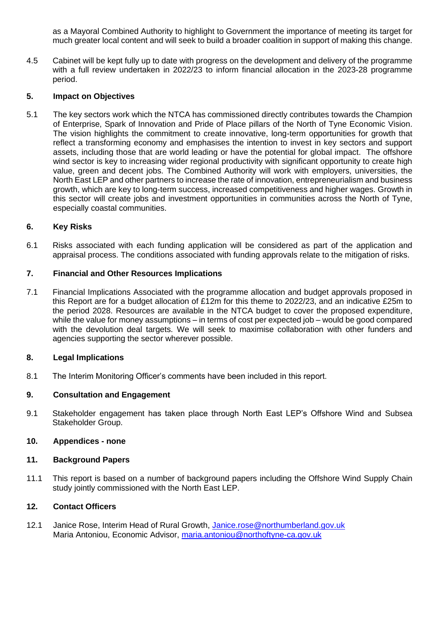as a Mayoral Combined Authority to highlight to Government the importance of meeting its target for much greater local content and will seek to build a broader coalition in support of making this change.

4.5 Cabinet will be kept fully up to date with progress on the development and delivery of the programme with a full review undertaken in 2022/23 to inform financial allocation in the 2023-28 programme period.

# **5. Impact on Objectives**

5.1 The key sectors work which the NTCA has commissioned directly contributes towards the Champion of Enterprise, Spark of Innovation and Pride of Place pillars of the North of Tyne Economic Vision. The vision highlights the commitment to create innovative, long-term opportunities for growth that reflect a transforming economy and emphasises the intention to invest in key sectors and support assets, including those that are world leading or have the potential for global impact. The offshore wind sector is key to increasing wider regional productivity with significant opportunity to create high value, green and decent jobs. The Combined Authority will work with employers, universities, the North East LEP and other partners to increase the rate of innovation, entrepreneurialism and business growth, which are key to long-term success, increased competitiveness and higher wages. Growth in this sector will create jobs and investment opportunities in communities across the North of Tyne, especially coastal communities.

# **6. Key Risks**

6.1 Risks associated with each funding application will be considered as part of the application and appraisal process. The conditions associated with funding approvals relate to the mitigation of risks.

# **7. Financial and Other Resources Implications**

7.1 Financial Implications Associated with the programme allocation and budget approvals proposed in this Report are for a budget allocation of £12m for this theme to 2022/23, and an indicative £25m to the period 2028. Resources are available in the NTCA budget to cover the proposed expenditure, while the value for money assumptions – in terms of cost per expected job – would be good compared with the devolution deal targets. We will seek to maximise collaboration with other funders and agencies supporting the sector wherever possible.

# **8. Legal Implications**

8.1 The Interim Monitoring Officer's comments have been included in this report.

# **9. Consultation and Engagement**

9.1 Stakeholder engagement has taken place through North East LEP's Offshore Wind and Subsea Stakeholder Group.

# **10. Appendices - none**

# **11. Background Papers**

11.1 This report is based on a number of background papers including the Offshore Wind Supply Chain study jointly commissioned with the North East LEP.

# **12. Contact Officers**

12.1 Janice Rose, Interim Head of Rural Growth, [Janice.rose@northumberland.gov.uk](mailto:Janice.rose@northumberland.gov.uk) Maria Antoniou, Economic Advisor, [maria.antoniou@northoftyne-ca.gov.uk](mailto:maria.antoniou@northoftyne-ca.gov.uk)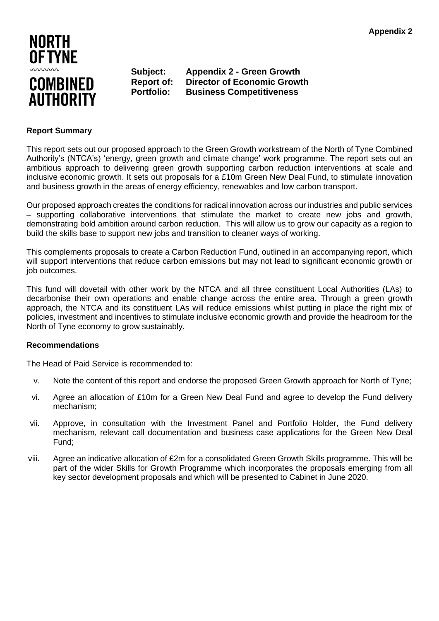

**Subject: Appendix 2 - Green Growth Report of: Director of Economic Growth Portfolio: Business Competitiveness** 

#### **Report Summary**

This report sets out our proposed approach to the Green Growth workstream of the North of Tyne Combined Authority's (NTCA's) 'energy, green growth and climate change' work programme. The report sets out an ambitious approach to delivering green growth supporting carbon reduction interventions at scale and inclusive economic growth. It sets out proposals for a £10m Green New Deal Fund, to stimulate innovation and business growth in the areas of energy efficiency, renewables and low carbon transport.

Our proposed approach creates the conditions for radical innovation across our industries and public services – supporting collaborative interventions that stimulate the market to create new jobs and growth, demonstrating bold ambition around carbon reduction. This will allow us to grow our capacity as a region to build the skills base to support new jobs and transition to cleaner ways of working.

This complements proposals to create a Carbon Reduction Fund, outlined in an accompanying report, which will support interventions that reduce carbon emissions but may not lead to significant economic growth or iob outcomes.

This fund will dovetail with other work by the NTCA and all three constituent Local Authorities (LAs) to decarbonise their own operations and enable change across the entire area. Through a green growth approach, the NTCA and its constituent LAs will reduce emissions whilst putting in place the right mix of policies, investment and incentives to stimulate inclusive economic growth and provide the headroom for the North of Tyne economy to grow sustainably.

# **Recommendations**

The Head of Paid Service is recommended to:

- v. Note the content of this report and endorse the proposed Green Growth approach for North of Tyne;
- vi. Agree an allocation of £10m for a Green New Deal Fund and agree to develop the Fund delivery mechanism;
- vii. Approve, in consultation with the Investment Panel and Portfolio Holder, the Fund delivery mechanism, relevant call documentation and business case applications for the Green New Deal Fund;
- viii. Agree an indicative allocation of £2m for a consolidated Green Growth Skills programme. This will be part of the wider Skills for Growth Programme which incorporates the proposals emerging from all key sector development proposals and which will be presented to Cabinet in June 2020.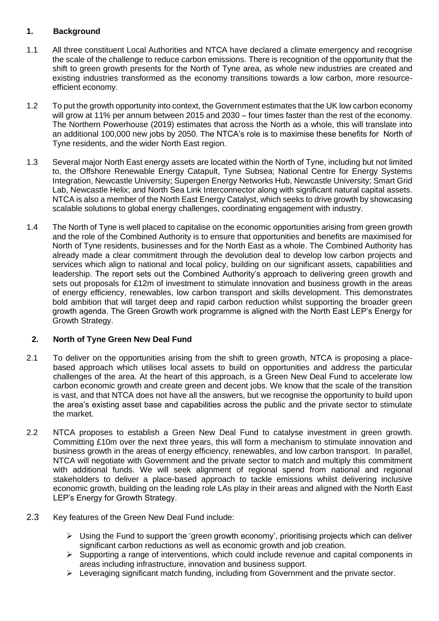# **1. Background**

- 1.1 All three constituent Local Authorities and NTCA have declared a climate emergency and recognise the scale of the challenge to reduce carbon emissions. There is recognition of the opportunity that the shift to green growth presents for the North of Tyne area, as whole new industries are created and existing industries transformed as the economy transitions towards a low carbon, more resourceefficient economy.
- 1.2 To put the growth opportunity into context, the Government estimates that the UK low carbon economy will grow at 11% per annum between 2015 and 2030 – four times faster than the rest of the economy. The Northern Powerhouse (2019) estimates that across the North as a whole, this will translate into an additional 100,000 new jobs by 2050. The NTCA's role is to maximise these benefits for North of Tyne residents, and the wider North East region.
- 1.3 Several major North East energy assets are located within the North of Tyne, including but not limited to, the Offshore Renewable Energy Catapult, Tyne Subsea; National Centre for Energy Systems Integration, Newcastle University; Supergen Energy Networks Hub, Newcastle University; Smart Grid Lab, Newcastle Helix; and North Sea Link Interconnector along with significant natural capital assets. NTCA is also a member of the North East Energy Catalyst, which seeks to drive growth by showcasing scalable solutions to global energy challenges, coordinating engagement with industry.
- 1.4 The North of Tyne is well placed to capitalise on the economic opportunities arising from green growth and the role of the Combined Authority is to ensure that opportunities and benefits are maximised for North of Tyne residents, businesses and for the North East as a whole. The Combined Authority has already made a clear commitment through the devolution deal to develop low carbon projects and services which align to national and local policy, building on our significant assets, capabilities and leadership. The report sets out the Combined Authority's approach to delivering green growth and sets out proposals for £12m of investment to stimulate innovation and business growth in the areas of energy efficiency, renewables, low carbon transport and skills development. This demonstrates bold ambition that will target deep and rapid carbon reduction whilst supporting the broader green growth agenda. The Green Growth work programme is aligned with the North East LEP's Energy for Growth Strategy.

# **2. North of Tyne Green New Deal Fund**

- 2.1 To deliver on the opportunities arising from the shift to green growth, NTCA is proposing a placebased approach which utilises local assets to build on opportunities and address the particular challenges of the area. At the heart of this approach, is a Green New Deal Fund to accelerate low carbon economic growth and create green and decent jobs. We know that the scale of the transition is vast, and that NTCA does not have all the answers, but we recognise the opportunity to build upon the area's existing asset base and capabilities across the public and the private sector to stimulate the market.
- 2.2 NTCA proposes to establish a Green New Deal Fund to catalyse investment in green growth. Committing £10m over the next three years, this will form a mechanism to stimulate innovation and business growth in the areas of energy efficiency, renewables, and low carbon transport. In parallel, NTCA will negotiate with Government and the private sector to match and multiply this commitment with additional funds. We will seek alignment of regional spend from national and regional stakeholders to deliver a place-based approach to tackle emissions whilst delivering inclusive economic growth, building on the leading role LAs play in their areas and aligned with the North East LEP's Energy for Growth Strategy.
- 2.3 Key features of the Green New Deal Fund include:
	- ➢ Using the Fund to support the 'green growth economy', prioritising projects which can deliver significant carbon reductions as well as economic growth and job creation.
	- $\triangleright$  Supporting a range of interventions, which could include revenue and capital components in areas including infrastructure, innovation and business support.
	- ➢ Leveraging significant match funding, including from Government and the private sector.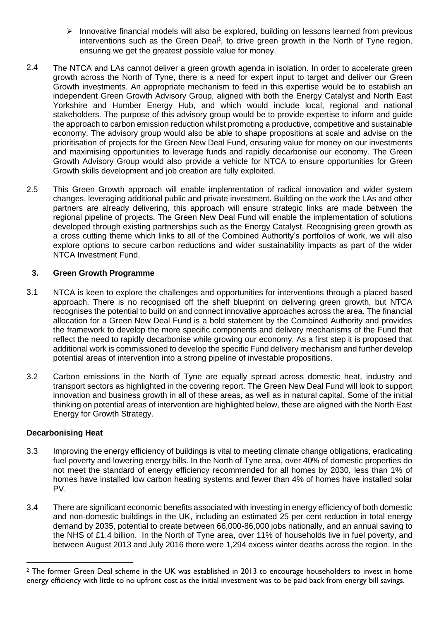- $\triangleright$  Innovative financial models will also be explored, building on lessons learned from previous interventions such as the Green Deal<sup>2</sup>, to drive green growth in the North of Tyne region, ensuring we get the greatest possible value for money.
- 2.4 The NTCA and LAs cannot deliver a green growth agenda in isolation. In order to accelerate green growth across the North of Tyne, there is a need for expert input to target and deliver our Green Growth investments. An appropriate mechanism to feed in this expertise would be to establish an independent Green Growth Advisory Group, aligned with both the Energy Catalyst and North East Yorkshire and Humber Energy Hub, and which would include local, regional and national stakeholders. The purpose of this advisory group would be to provide expertise to inform and guide the approach to carbon emission reduction whilst promoting a productive, competitive and sustainable economy. The advisory group would also be able to shape propositions at scale and advise on the prioritisation of projects for the Green New Deal Fund, ensuring value for money on our investments and maximising opportunities to leverage funds and rapidly decarbonise our economy. The Green Growth Advisory Group would also provide a vehicle for NTCA to ensure opportunities for Green Growth skills development and job creation are fully exploited.
- 2.5 This Green Growth approach will enable implementation of radical innovation and wider system changes, leveraging additional public and private investment. Building on the work the LAs and other partners are already delivering, this approach will ensure strategic links are made between the regional pipeline of projects. The Green New Deal Fund will enable the implementation of solutions developed through existing partnerships such as the Energy Catalyst. Recognising green growth as a cross cutting theme which links to all of the Combined Authority's portfolios of work, we will also explore options to secure carbon reductions and wider sustainability impacts as part of the wider NTCA Investment Fund.

# **3. Green Growth Programme**

- 3.1 NTCA is keen to explore the challenges and opportunities for interventions through a placed based approach. There is no recognised off the shelf blueprint on delivering green growth, but NTCA recognises the potential to build on and connect innovative approaches across the area. The financial allocation for a Green New Deal Fund is a bold statement by the Combined Authority and provides the framework to develop the more specific components and delivery mechanisms of the Fund that reflect the need to rapidly decarbonise while growing our economy. As a first step it is proposed that additional work is commissioned to develop the specific Fund delivery mechanism and further develop potential areas of intervention into a strong pipeline of investable propositions.
- 3.2 Carbon emissions in the North of Tyne are equally spread across domestic heat, industry and transport sectors as highlighted in the covering report. The Green New Deal Fund will look to support innovation and business growth in all of these areas, as well as in natural capital. Some of the initial thinking on potential areas of intervention are highlighted below, these are aligned with the North East Energy for Growth Strategy.

# **Decarbonising Heat**

- 3.3 Improving the energy efficiency of buildings is vital to meeting climate change obligations, eradicating fuel poverty and lowering energy bills. In the North of Tyne area, over 40% of domestic properties do not meet the standard of energy efficiency recommended for all homes by 2030, less than 1% of homes have installed low carbon heating systems and fewer than 4% of homes have installed solar PV.
- 3.4 There are significant economic benefits associated with investing in energy efficiency of both domestic and non-domestic buildings in the UK, including an estimated 25 per cent reduction in total energy demand by 2035, potential to create between 66,000-86,000 jobs nationally, and an annual saving to the NHS of £1.4 billion. In the North of Tyne area, over 11% of households live in fuel poverty, and between August 2013 and July 2016 there were 1,294 excess winter deaths across the region. In the

<sup>2</sup> The former Green Deal scheme in the UK was established in 2013 to encourage householders to invest in home energy efficiency with little to no upfront cost as the initial investment was to be paid back from energy bill savings.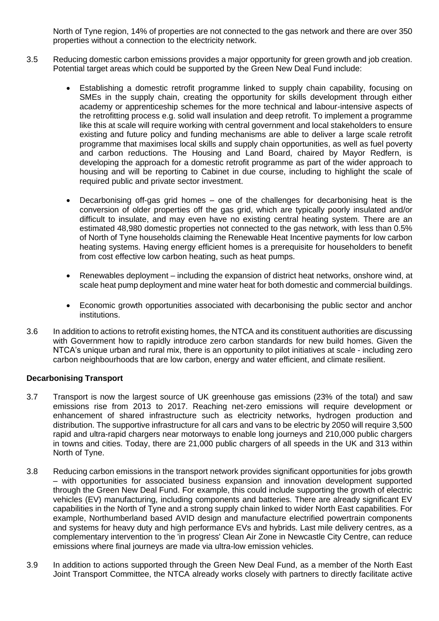North of Tyne region, 14% of properties are not connected to the gas network and there are over 350 properties without a connection to the electricity network.

- 3.5 Reducing domestic carbon emissions provides a major opportunity for green growth and job creation. Potential target areas which could be supported by the Green New Deal Fund include:
	- Establishing a domestic retrofit programme linked to supply chain capability, focusing on SMEs in the supply chain, creating the opportunity for skills development through either academy or apprenticeship schemes for the more technical and labour-intensive aspects of the retrofitting process e.g. solid wall insulation and deep retrofit. To implement a programme like this at scale will require working with central government and local stakeholders to ensure existing and future policy and funding mechanisms are able to deliver a large scale retrofit programme that maximises local skills and supply chain opportunities, as well as fuel poverty and carbon reductions. The Housing and Land Board, chaired by Mayor Redfern, is developing the approach for a domestic retrofit programme as part of the wider approach to housing and will be reporting to Cabinet in due course, including to highlight the scale of required public and private sector investment.
	- Decarbonising off-gas grid homes  $-$  one of the challenges for decarbonising heat is the conversion of older properties off the gas grid, which are typically poorly insulated and/or difficult to insulate, and may even have no existing central heating system. There are an estimated 48,980 domestic properties not connected to the gas network, with less than 0.5% of North of Tyne households claiming the Renewable Heat Incentive payments for low carbon heating systems. Having energy efficient homes is a prerequisite for householders to benefit from cost effective low carbon heating, such as heat pumps.
	- Renewables deployment including the expansion of district heat networks, onshore wind, at scale heat pump deployment and mine water heat for both domestic and commercial buildings.
	- Economic growth opportunities associated with decarbonising the public sector and anchor institutions.
- 3.6 In addition to actions to retrofit existing homes, the NTCA and its constituent authorities are discussing with Government how to rapidly introduce zero carbon standards for new build homes. Given the NTCA's unique urban and rural mix, there is an opportunity to pilot initiatives at scale - including zero carbon neighbourhoods that are low carbon, energy and water efficient, and climate resilient.

# **Decarbonising Transport**

- 3.7 Transport is now the largest source of UK greenhouse gas emissions (23% of the total) and saw emissions rise from 2013 to 2017. Reaching net-zero emissions will require development or enhancement of shared infrastructure such as electricity networks, hydrogen production and distribution. The supportive infrastructure for all cars and vans to be electric by 2050 will require 3,500 rapid and ultra-rapid chargers near motorways to enable long journeys and 210,000 public chargers in towns and cities. Today, there are 21,000 public chargers of all speeds in the UK and 313 within North of Tyne.
- 3.8 Reducing carbon emissions in the transport network provides significant opportunities for jobs growth – with opportunities for associated business expansion and innovation development supported through the Green New Deal Fund. For example, this could include supporting the growth of electric vehicles (EV) manufacturing, including components and batteries. There are already significant EV capabilities in the North of Tyne and a strong supply chain linked to wider North East capabilities. For example, Northumberland based AVID design and manufacture electrified powertrain components and systems for heavy duty and high performance EVs and hybrids. Last mile delivery centres, as a complementary intervention to the 'in progress' Clean Air Zone in Newcastle City Centre, can reduce emissions where final journeys are made via ultra-low emission vehicles.
- 3.9 In addition to actions supported through the Green New Deal Fund, as a member of the North East Joint Transport Committee, the NTCA already works closely with partners to directly facilitate active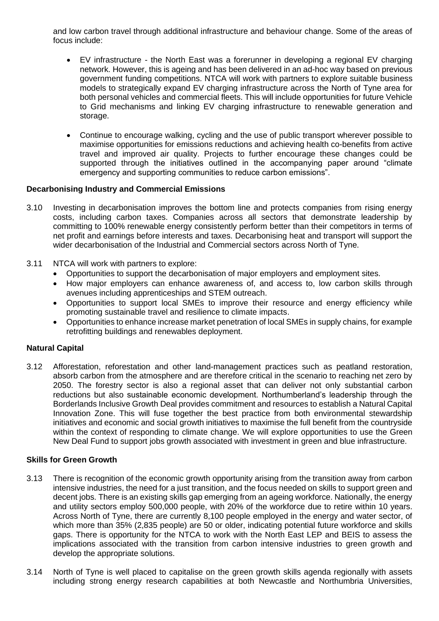and low carbon travel through additional infrastructure and behaviour change. Some of the areas of focus include:

- EV infrastructure the North East was a forerunner in developing a regional EV charging network. However, this is ageing and has been delivered in an ad-hoc way based on previous government funding competitions. NTCA will work with partners to explore suitable business models to strategically expand EV charging infrastructure across the North of Tyne area for both personal vehicles and commercial fleets. This will include opportunities for future Vehicle to Grid mechanisms and linking EV charging infrastructure to renewable generation and storage.
- Continue to encourage walking, cycling and the use of public transport wherever possible to maximise opportunities for emissions reductions and achieving health co-benefits from active travel and improved air quality. Projects to further encourage these changes could be supported through the initiatives outlined in the accompanying paper around "climate emergency and supporting communities to reduce carbon emissions".

# **Decarbonising Industry and Commercial Emissions**

- 3.10 Investing in decarbonisation improves the bottom line and protects companies from rising energy costs, including carbon taxes. Companies across all sectors that demonstrate leadership by committing to 100% renewable energy consistently perform better than their competitors in terms of net profit and earnings before interests and taxes. Decarbonising heat and transport will support the wider decarbonisation of the Industrial and Commercial sectors across North of Tyne.
- 3.11 NTCA will work with partners to explore:
	- Opportunities to support the decarbonisation of major employers and employment sites.
	- How major employers can enhance awareness of, and access to, low carbon skills through avenues including apprenticeships and STEM outreach.
	- Opportunities to support local SMEs to improve their resource and energy efficiency while promoting sustainable travel and resilience to climate impacts.
	- Opportunities to enhance increase market penetration of local SMEs in supply chains, for example retrofitting buildings and renewables deployment.

# **Natural Capital**

3.12 Afforestation, reforestation and other land-management practices such as peatland restoration, absorb carbon from the atmosphere and are therefore critical in the scenario to reaching net zero by 2050. The forestry sector is also a regional asset that can deliver not only substantial carbon reductions but also sustainable economic development. Northumberland's leadership through the Borderlands Inclusive Growth Deal provides commitment and resources to establish a Natural Capital Innovation Zone. This will fuse together the best practice from both environmental stewardship initiatives and economic and social growth initiatives to maximise the full benefit from the countryside within the context of responding to climate change. We will explore opportunities to use the Green New Deal Fund to support jobs growth associated with investment in green and blue infrastructure.

#### **Skills for Green Growth**

- 3.13 There is recognition of the economic growth opportunity arising from the transition away from carbon intensive industries, the need for a just transition, and the focus needed on skills to support green and decent jobs. There is an existing skills gap emerging from an ageing workforce. Nationally, the energy and utility sectors employ 500,000 people, with 20% of the workforce due to retire within 10 years. Across North of Tyne, there are currently 8,100 people employed in the energy and water sector, of which more than 35% (2,835 people) are 50 or older, indicating potential future workforce and skills gaps. There is opportunity for the NTCA to work with the North East LEP and BEIS to assess the implications associated with the transition from carbon intensive industries to green growth and develop the appropriate solutions.
- 3.14 North of Tyne is well placed to capitalise on the green growth skills agenda regionally with assets including strong energy research capabilities at both Newcastle and Northumbria Universities,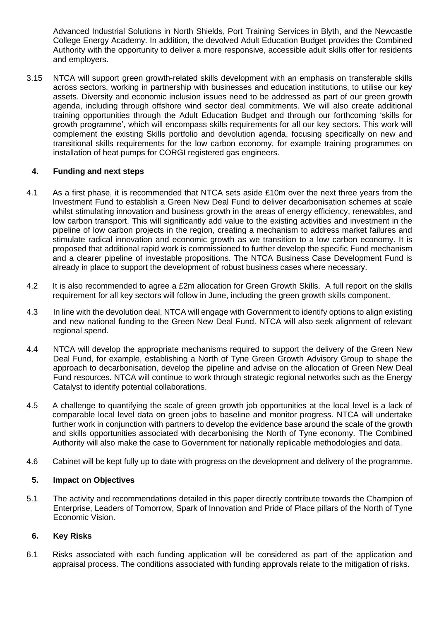Advanced Industrial Solutions in North Shields, Port Training Services in Blyth, and the Newcastle College Energy Academy. In addition, the devolved Adult Education Budget provides the Combined Authority with the opportunity to deliver a more responsive, accessible adult skills offer for residents and employers.

3.15 NTCA will support green growth-related skills development with an emphasis on transferable skills across sectors, working in partnership with businesses and education institutions, to utilise our key assets. Diversity and economic inclusion issues need to be addressed as part of our green growth agenda, including through offshore wind sector deal commitments. We will also create additional training opportunities through the Adult Education Budget and through our forthcoming 'skills for growth programme', which will encompass skills requirements for all our key sectors. This work will complement the existing Skills portfolio and devolution agenda, focusing specifically on new and transitional skills requirements for the low carbon economy, for example training programmes on installation of heat pumps for CORGI registered gas engineers.

# **4. Funding and next steps**

- 4.1 As a first phase, it is recommended that NTCA sets aside £10m over the next three years from the Investment Fund to establish a Green New Deal Fund to deliver decarbonisation schemes at scale whilst stimulating innovation and business growth in the areas of energy efficiency, renewables, and low carbon transport. This will significantly add value to the existing activities and investment in the pipeline of low carbon projects in the region, creating a mechanism to address market failures and stimulate radical innovation and economic growth as we transition to a low carbon economy. It is proposed that additional rapid work is commissioned to further develop the specific Fund mechanism and a clearer pipeline of investable propositions. The NTCA Business Case Development Fund is already in place to support the development of robust business cases where necessary.
- 4.2 It is also recommended to agree a £2m allocation for Green Growth Skills. A full report on the skills requirement for all key sectors will follow in June, including the green growth skills component.
- 4.3 In line with the devolution deal, NTCA will engage with Government to identify options to align existing and new national funding to the Green New Deal Fund. NTCA will also seek alignment of relevant regional spend.
- 4.4 NTCA will develop the appropriate mechanisms required to support the delivery of the Green New Deal Fund, for example, establishing a North of Tyne Green Growth Advisory Group to shape the approach to decarbonisation, develop the pipeline and advise on the allocation of Green New Deal Fund resources. NTCA will continue to work through strategic regional networks such as the Energy Catalyst to identify potential collaborations.
- 4.5 A challenge to quantifying the scale of green growth job opportunities at the local level is a lack of comparable local level data on green jobs to baseline and monitor progress. NTCA will undertake further work in conjunction with partners to develop the evidence base around the scale of the growth and skills opportunities associated with decarbonising the North of Tyne economy. The Combined Authority will also make the case to Government for nationally replicable methodologies and data.
- 4.6 Cabinet will be kept fully up to date with progress on the development and delivery of the programme.

# **5. Impact on Objectives**

5.1 The activity and recommendations detailed in this paper directly contribute towards the Champion of Enterprise, Leaders of Tomorrow, Spark of Innovation and Pride of Place pillars of the North of Tyne Economic Vision.

# **6. Key Risks**

6.1 Risks associated with each funding application will be considered as part of the application and appraisal process. The conditions associated with funding approvals relate to the mitigation of risks.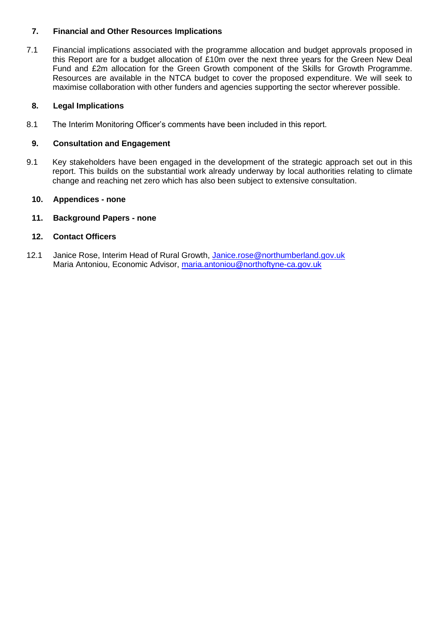# **7. Financial and Other Resources Implications**

7.1 Financial implications associated with the programme allocation and budget approvals proposed in this Report are for a budget allocation of £10m over the next three years for the Green New Deal Fund and £2m allocation for the Green Growth component of the Skills for Growth Programme. Resources are available in the NTCA budget to cover the proposed expenditure. We will seek to maximise collaboration with other funders and agencies supporting the sector wherever possible.

# **8. Legal Implications**

8.1 The Interim Monitoring Officer's comments have been included in this report.

# **9. Consultation and Engagement**

9.1 Key stakeholders have been engaged in the development of the strategic approach set out in this report. This builds on the substantial work already underway by local authorities relating to climate change and reaching net zero which has also been subject to extensive consultation.

# **10. Appendices - none**

# **11. Background Papers - none**

# **12. Contact Officers**

12.1 Janice Rose, Interim Head of Rural Growth, [Janice.rose@northumberland.gov.uk](mailto:Janice.rose@northumberland.gov.uk) Maria Antoniou, Economic Advisor, [maria.antoniou@northoftyne-ca.gov.uk](mailto:maria.antoniou@northoftyne-ca.gov.uk)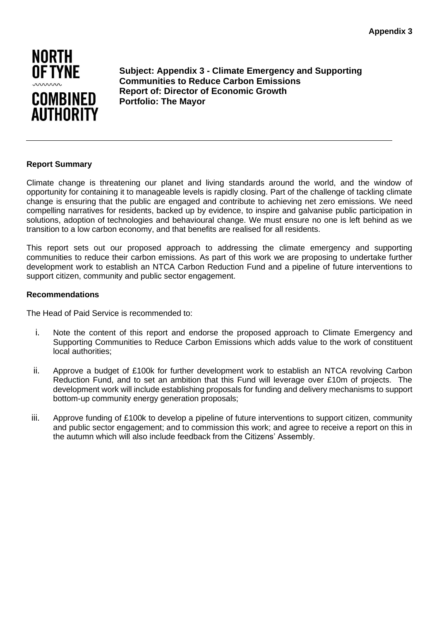

**Subject: Appendix 3 - Climate Emergency and Supporting Communities to Reduce Carbon Emissions Report of: Director of Economic Growth Portfolio: The Mayor**

# **Report Summary**

Climate change is threatening our planet and living standards around the world, and the window of opportunity for containing it to manageable levels is rapidly closing. Part of the challenge of tackling climate change is ensuring that the public are engaged and contribute to achieving net zero emissions. We need compelling narratives for residents, backed up by evidence, to inspire and galvanise public participation in solutions, adoption of technologies and behavioural change. We must ensure no one is left behind as we transition to a low carbon economy, and that benefits are realised for all residents.

This report sets out our proposed approach to addressing the climate emergency and supporting communities to reduce their carbon emissions. As part of this work we are proposing to undertake further development work to establish an NTCA Carbon Reduction Fund and a pipeline of future interventions to support citizen, community and public sector engagement.

#### **Recommendations**

The Head of Paid Service is recommended to:

- i. Note the content of this report and endorse the proposed approach to Climate Emergency and Supporting Communities to Reduce Carbon Emissions which adds value to the work of constituent local authorities;
- ii. Approve a budget of £100k for further development work to establish an NTCA revolving Carbon Reduction Fund, and to set an ambition that this Fund will leverage over £10m of projects. The development work will include establishing proposals for funding and delivery mechanisms to support bottom-up community energy generation proposals;
- iii. Approve funding of £100k to develop a pipeline of future interventions to support citizen, community and public sector engagement; and to commission this work; and agree to receive a report on this in the autumn which will also include feedback from the Citizens' Assembly.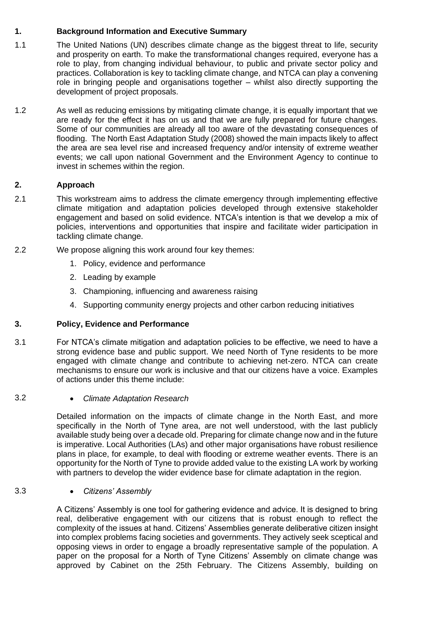# **1. Background Information and Executive Summary**

- 1.1 The United Nations (UN) describes climate change as the biggest threat to life, security and prosperity on earth. To make the transformational changes required, everyone has a role to play, from changing individual behaviour, to public and private sector policy and practices. Collaboration is key to tackling climate change, and NTCA can play a convening role in bringing people and organisations together – whilst also directly supporting the development of project proposals.
- 1.2 As well as reducing emissions by mitigating climate change, it is equally important that we are ready for the effect it has on us and that we are fully prepared for future changes. Some of our communities are already all too aware of the devastating consequences of flooding. The North East Adaptation Study (2008) showed the main impacts likely to affect the area are sea level rise and increased frequency and/or intensity of extreme weather events; we call upon national Government and the Environment Agency to continue to invest in schemes within the region.

# **2. Approach**

- 2.1 This workstream aims to address the climate emergency through implementing effective climate mitigation and adaptation policies developed through extensive stakeholder engagement and based on solid evidence. NTCA's intention is that we develop a mix of policies, interventions and opportunities that inspire and facilitate wider participation in tackling climate change.
- 2.2 We propose aligning this work around four key themes:
	- 1. Policy, evidence and performance
	- 2. Leading by example
	- 3. Championing, influencing and awareness raising
	- 4. Supporting community energy projects and other carbon reducing initiatives

# **3. Policy, Evidence and Performance**

3.1 For NTCA's climate mitigation and adaptation policies to be effective, we need to have a strong evidence base and public support. We need North of Tyne residents to be more engaged with climate change and contribute to achieving net-zero. NTCA can create mechanisms to ensure our work is inclusive and that our citizens have a voice. Examples of actions under this theme include:

# 3.2 • *Climate Adaptation Research*

Detailed information on the impacts of climate change in the North East, and more specifically in the North of Tyne area, are not well understood, with the last publicly available study being over a decade old. Preparing for climate change now and in the future is imperative. Local Authorities (LAs) and other major organisations have robust resilience plans in place, for example, to deal with flooding or extreme weather events. There is an opportunity for the North of Tyne to provide added value to the existing LA work by working with partners to develop the wider evidence base for climate adaptation in the region.

# 3.3 • *Citizens' Assembly*

A Citizens' Assembly is one tool for gathering evidence and advice. It is designed to bring real, deliberative engagement with our citizens that is robust enough to reflect the complexity of the issues at hand. Citizens' Assemblies generate deliberative citizen insight into complex problems facing societies and governments. They actively seek sceptical and opposing views in order to engage a broadly representative sample of the population. A paper on the proposal for a North of Tyne Citizens' Assembly on climate change was approved by Cabinet on the 25th February. The Citizens Assembly, building on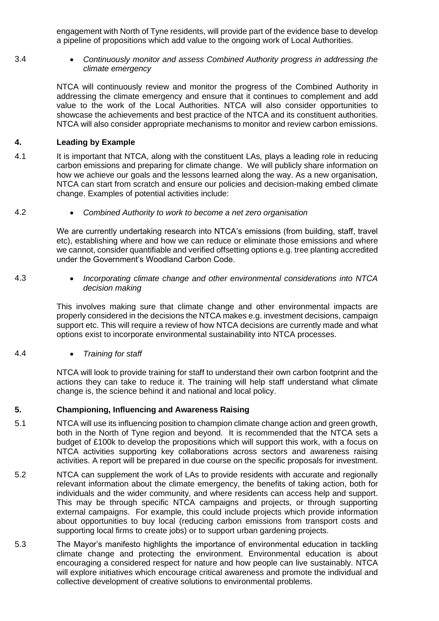engagement with North of Tyne residents, will provide part of the evidence base to develop a pipeline of propositions which add value to the ongoing work of Local Authorities.

3.4 • *Continuously monitor and assess Combined Authority progress in addressing the climate emergency*

> NTCA will continuously review and monitor the progress of the Combined Authority in addressing the climate emergency and ensure that it continues to complement and add value to the work of the Local Authorities. NTCA will also consider opportunities to showcase the achievements and best practice of the NTCA and its constituent authorities. NTCA will also consider appropriate mechanisms to monitor and review carbon emissions.

# **4. Leading by Example**

4.1 It is important that NTCA, along with the constituent LAs, plays a leading role in reducing carbon emissions and preparing for climate change. We will publicly share information on how we achieve our goals and the lessons learned along the way. As a new organisation, NTCA can start from scratch and ensure our policies and decision-making embed climate change. Examples of potential activities include:

4.2 • *Combined Authority to work to become a net zero organisation*

We are currently undertaking research into NTCA's emissions (from building, staff, travel etc), establishing where and how we can reduce or eliminate those emissions and where we cannot, consider quantifiable and verified offsetting options e.g. tree planting accredited under the Government's Woodland Carbon Code.

4.3 • *Incorporating climate change and other environmental considerations into NTCA decision making* 

> This involves making sure that climate change and other environmental impacts are properly considered in the decisions the NTCA makes e.g. investment decisions, campaign support etc. This will require a review of how NTCA decisions are currently made and what options exist to incorporate environmental sustainability into NTCA processes.

4.4 • *Training for staff* 

NTCA will look to provide training for staff to understand their own carbon footprint and the actions they can take to reduce it. The training will help staff understand what climate change is, the science behind it and national and local policy.

# **5. Championing, Influencing and Awareness Raising**

- 5.1 NTCA will use its influencing position to champion climate change action and green growth, both in the North of Tyne region and beyond. It is recommended that the NTCA sets a budget of £100k to develop the propositions which will support this work, with a focus on NTCA activities supporting key collaborations across sectors and awareness raising activities. A report will be prepared in due course on the specific proposals for investment.
- 5.2 NTCA can supplement the work of LAs to provide residents with accurate and regionally relevant information about the climate emergency, the benefits of taking action, both for individuals and the wider community, and where residents can access help and support. This may be through specific NTCA campaigns and projects, or through supporting external campaigns. For example, this could include projects which provide information about opportunities to buy local (reducing carbon emissions from transport costs and supporting local firms to create jobs) or to support urban gardening projects.
- 5.3 The Mayor's manifesto highlights the importance of environmental education in tackling climate change and protecting the environment. Environmental education is about encouraging a considered respect for nature and how people can live sustainably. NTCA will explore initiatives which encourage critical awareness and promote the individual and collective development of creative solutions to environmental problems.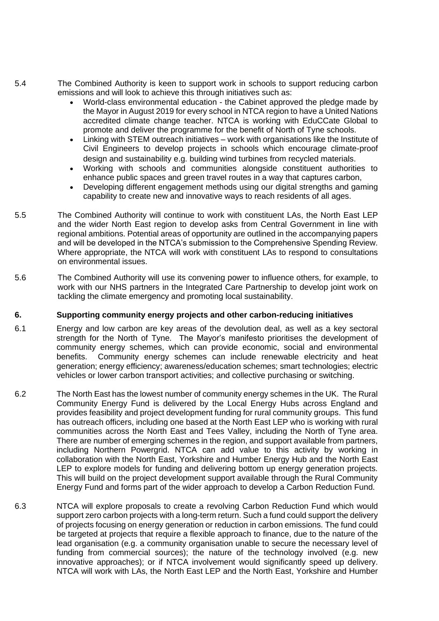- 5.4 The Combined Authority is keen to support work in schools to support reducing carbon emissions and will look to achieve this through initiatives such as:
	- World-class environmental education the Cabinet approved the pledge made by the Mayor in August 2019 for every school in NTCA region to have a United Nations accredited climate change teacher. NTCA is working with EduCCate Global to promote and deliver the programme for the benefit of North of Tyne schools.
	- Linking with STEM outreach initiatives work with organisations like the Institute of Civil Engineers to develop projects in schools which encourage climate-proof design and sustainability e.g. building wind turbines from recycled materials.
	- Working with schools and communities alongside constituent authorities to enhance public spaces and green travel routes in a way that captures carbon,
	- Developing different engagement methods using our digital strengths and gaming capability to create new and innovative ways to reach residents of all ages.
- 5.5 The Combined Authority will continue to work with constituent LAs, the North East LEP and the wider North East region to develop asks from Central Government in line with regional ambitions. Potential areas of opportunity are outlined in the accompanying papers and will be developed in the NTCA's submission to the Comprehensive Spending Review. Where appropriate, the NTCA will work with constituent LAs to respond to consultations on environmental issues.
- 5.6 The Combined Authority will use its convening power to influence others, for example, to work with our NHS partners in the Integrated Care Partnership to develop joint work on tackling the climate emergency and promoting local sustainability.

#### **6. Supporting community energy projects and other carbon-reducing initiatives**

- 6.1 Energy and low carbon are key areas of the devolution deal, as well as a key sectoral strength for the North of Tyne. The Mayor's manifesto prioritises the development of community energy schemes, which can provide economic, social and environmental benefits. Community energy schemes can include renewable electricity and heat generation; energy efficiency; awareness/education schemes; smart technologies; electric vehicles or lower carbon transport activities; and collective purchasing or switching.
- 6.2 The North East has the lowest number of community energy schemes in the UK. The Rural Community Energy Fund is delivered by the Local Energy Hubs across England and provides feasibility and project development funding for rural community groups. This fund has outreach officers, including one based at the North East LEP who is working with rural communities across the North East and Tees Valley, including the North of Tyne area. There are number of emerging schemes in the region, and support available from partners, including Northern Powergrid. NTCA can add value to this activity by working in collaboration with the North East, Yorkshire and Humber Energy Hub and the North East LEP to explore models for funding and delivering bottom up energy generation projects. This will build on the project development support available through the Rural Community Energy Fund and forms part of the wider approach to develop a Carbon Reduction Fund.
- 6.3 NTCA will explore proposals to create a revolving Carbon Reduction Fund which would support zero carbon projects with a long-term return. Such a fund could support the delivery of projects focusing on energy generation or reduction in carbon emissions. The fund could be targeted at projects that require a flexible approach to finance, due to the nature of the lead organisation (e.g. a community organisation unable to secure the necessary level of funding from commercial sources); the nature of the technology involved (e.g. new innovative approaches); or if NTCA involvement would significantly speed up delivery. NTCA will work with LAs, the North East LEP and the North East, Yorkshire and Humber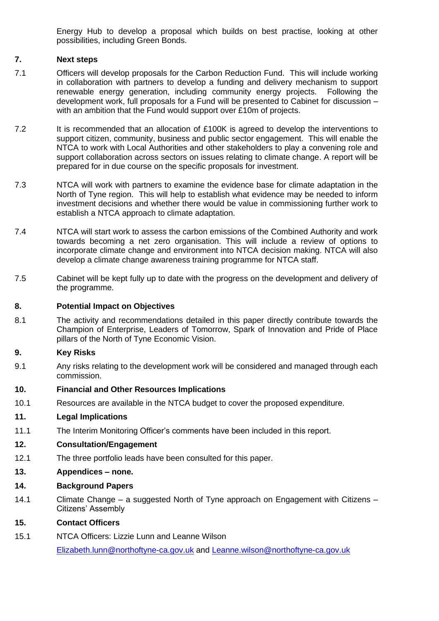Energy Hub to develop a proposal which builds on best practise, looking at other possibilities, including Green Bonds.

# **7. Next steps**

- 7.1 Officers will develop proposals for the Carbon Reduction Fund. This will include working in collaboration with partners to develop a funding and delivery mechanism to support renewable energy generation, including community energy projects. Following the development work, full proposals for a Fund will be presented to Cabinet for discussion – with an ambition that the Fund would support over £10m of projects.
- 7.2 It is recommended that an allocation of £100K is agreed to develop the interventions to support citizen, community, business and public sector engagement. This will enable the NTCA to work with Local Authorities and other stakeholders to play a convening role and support collaboration across sectors on issues relating to climate change. A report will be prepared for in due course on the specific proposals for investment.
- 7.3 NTCA will work with partners to examine the evidence base for climate adaptation in the North of Tyne region. This will help to establish what evidence may be needed to inform investment decisions and whether there would be value in commissioning further work to establish a NTCA approach to climate adaptation.
- 7.4 NTCA will start work to assess the carbon emissions of the Combined Authority and work towards becoming a net zero organisation. This will include a review of options to incorporate climate change and environment into NTCA decision making. NTCA will also develop a climate change awareness training programme for NTCA staff.
- 7.5 Cabinet will be kept fully up to date with the progress on the development and delivery of the programme.

# **8. Potential Impact on Objectives**

8.1 The activity and recommendations detailed in this paper directly contribute towards the Champion of Enterprise, Leaders of Tomorrow, Spark of Innovation and Pride of Place pillars of the North of Tyne Economic Vision.

# **9. Key Risks**

9.1 Any risks relating to the development work will be considered and managed through each commission.

#### **10. Financial and Other Resources Implications**

10.1 Resources are available in the NTCA budget to cover the proposed expenditure.

# **11. Legal Implications**

11.1 The Interim Monitoring Officer's comments have been included in this report.

# **12. Consultation/Engagement**

- 12.1 The three portfolio leads have been consulted for this paper.
- **13. Appendices – none.**
- **14. Background Papers**
- 14.1 Climate Change a suggested North of Tyne approach on Engagement with Citizens Citizens' Assembly

# **15. Contact Officers**

15.1 NTCA Officers: Lizzie Lunn and Leanne Wilson

[Elizabeth.lunn@northoftyne-ca.gov.uk](mailto:Elizabeth.lunn@northoftyne-ca.gov.uk) and [Leanne.wilson@northoftyne-ca.gov.uk](mailto:Leanne.wilson@northoftyne-ca.gov.uk)